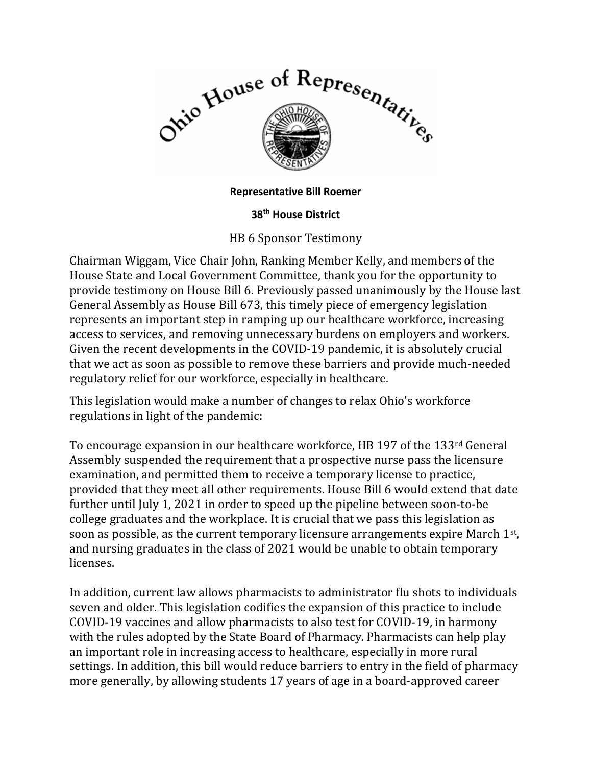

## Representative Bill Roemer

## 38th House District

## HB 6 Sponsor Testimony

Chairman Wiggam, Vice Chair John, Ranking Member Kelly, and members of the House State and Local Government Committee, thank you for the opportunity to provide testimony on House Bill 6. Previously passed unanimously by the House last General Assembly as House Bill 673, this timely piece of emergency legislation represents an important step in ramping up our healthcare workforce, increasing access to services, and removing unnecessary burdens on employers and workers. Given the recent developments in the COVID-19 pandemic, it is absolutely crucial that we act as soon as possible to remove these barriers and provide much-needed regulatory relief for our workforce, especially in healthcare.

This legislation would make a number of changes to relax Ohio's workforce regulations in light of the pandemic:

To encourage expansion in our healthcare workforce, HB 197 of the 133rd General Assembly suspended the requirement that a prospective nurse pass the licensure examination, and permitted them to receive a temporary license to practice, provided that they meet all other requirements. House Bill 6 would extend that date further until July 1, 2021 in order to speed up the pipeline between soon-to-be college graduates and the workplace. It is crucial that we pass this legislation as soon as possible, as the current temporary licensure arrangements expire March  $1<sup>st</sup>$ , and nursing graduates in the class of 2021 would be unable to obtain temporary licenses.

In addition, current law allows pharmacists to administrator flu shots to individuals seven and older. This legislation codifies the expansion of this practice to include COVID-19 vaccines and allow pharmacists to also test for COVID-19, in harmony with the rules adopted by the State Board of Pharmacy. Pharmacists can help play an important role in increasing access to healthcare, especially in more rural settings. In addition, this bill would reduce barriers to entry in the field of pharmacy more generally, by allowing students 17 years of age in a board-approved career